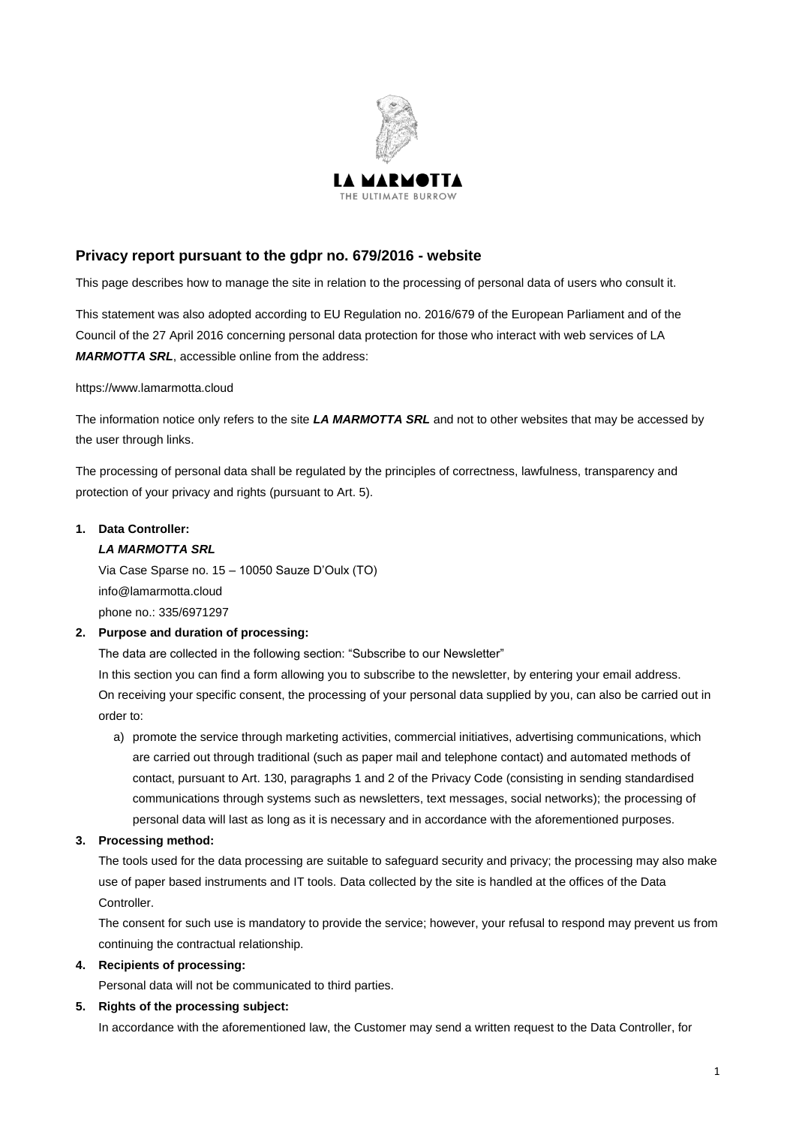

# **Privacy report pursuant to the gdpr no. 679/2016 - website**

This page describes how to manage the site in relation to the processing of personal data of users who consult it.

This statement was also adopted according to EU Regulation no. 2016/679 of the European Parliament and of the Council of the 27 April 2016 concerning personal data protection for those who interact with web services of LA *MARMOTTA SRL*, accessible online from the address:

### https://www.lamarmotta.cloud

The information notice only refers to the site *LA MARMOTTA SRL* and not to other websites that may be accessed by the user through links.

The processing of personal data shall be regulated by the principles of correctness, lawfulness, transparency and protection of your privacy and rights (pursuant to Art. 5).

# **1. Data Controller:**

# *LA MARMOTTA SRL*

Via Case Sparse no. 15 – 10050 Sauze D'Oulx (TO) info@lamarmotta.cloud phone no.: 335/6971297

#### **2. Purpose and duration of processing:**

The data are collected in the following section: "Subscribe to our Newsletter"

In this section you can find a form allowing you to subscribe to the newsletter, by entering your email address. On receiving your specific consent, the processing of your personal data supplied by you, can also be carried out in order to:

a) promote the service through marketing activities, commercial initiatives, advertising communications, which are carried out through traditional (such as paper mail and telephone contact) and automated methods of contact, pursuant to Art. 130, paragraphs 1 and 2 of the Privacy Code (consisting in sending standardised communications through systems such as newsletters, text messages, social networks); the processing of personal data will last as long as it is necessary and in accordance with the aforementioned purposes.

## **3. Processing method:**

The tools used for the data processing are suitable to safeguard security and privacy; the processing may also make use of paper based instruments and IT tools. Data collected by the site is handled at the offices of the Data Controller.

The consent for such use is mandatory to provide the service; however, your refusal to respond may prevent us from continuing the contractual relationship.

#### **4. Recipients of processing:**

Personal data will not be communicated to third parties.

## **5. Rights of the processing subject:**

In accordance with the aforementioned law, the Customer may send a written request to the Data Controller, for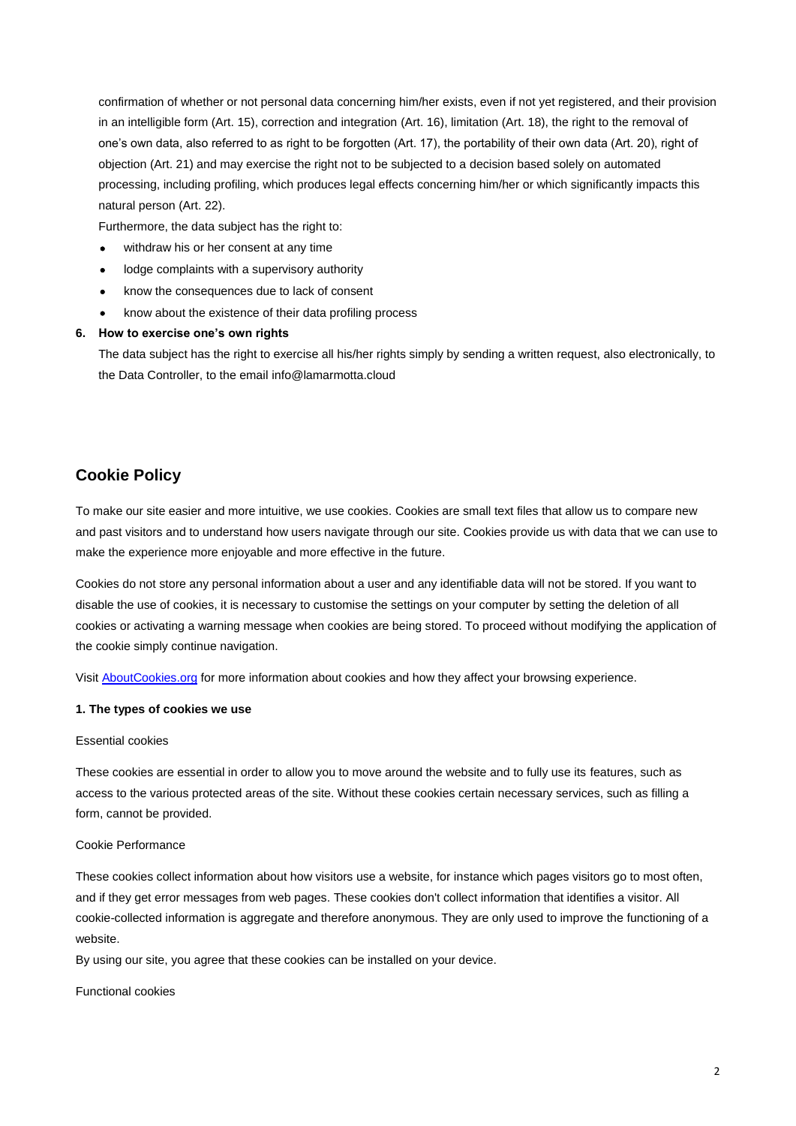confirmation of whether or not personal data concerning him/her exists, even if not yet registered, and their provision in an intelligible form (Art. 15), correction and integration (Art. 16), limitation (Art. 18), the right to the removal of one's own data, also referred to as right to be forgotten (Art. 17), the portability of their own data (Art. 20), right of objection (Art. 21) and may exercise the right not to be subjected to a decision based solely on automated processing, including profiling, which produces legal effects concerning him/her or which significantly impacts this natural person (Art. 22).

Furthermore, the data subject has the right to:

- withdraw his or her consent at any time
- lodge complaints with a supervisory authority
- know the consequences due to lack of consent
- know about the existence of their data profiling process

#### **6. How to exercise one's own rights**

The data subject has the right to exercise all his/her rights simply by sending a written request, also electronically, to the Data Controller, to the email [info@lamarmotta.cloud](mailto:info@lamarmotta.cloud)

# **Cookie Policy**

To make our site easier and more intuitive, we use cookies. Cookies are small text files that allow us to compare new and past visitors and to understand how users navigate through our site. Cookies provide us with data that we can use to make the experience more enjoyable and more effective in the future.

Cookies do not store any personal information about a user and any identifiable data will not be stored. If you want to disable the use of cookies, it is necessary to customise the settings on your computer by setting the deletion of all cookies or activating a warning message when cookies are being stored. To proceed without modifying the application of the cookie simply continue navigation.

Visit [AboutCookies.org](http://www.aboutcookies.org/) for more information about cookies and how they affect your browsing experience.

# **1. The types of cookies we use**

## Essential cookies

These cookies are essential in order to allow you to move around the website and to fully use its features, such as access to the various protected areas of the site. Without these cookies certain necessary services, such as filling a form, cannot be provided.

# Cookie Performance

These cookies collect information about how visitors use a website, for instance which pages visitors go to most often, and if they get error messages from web pages. These cookies don't collect information that identifies a visitor. All cookie-collected information is aggregate and therefore anonymous. They are only used to improve the functioning of a website.

By using our site, you agree that these cookies can be installed on your device.

#### Functional cookies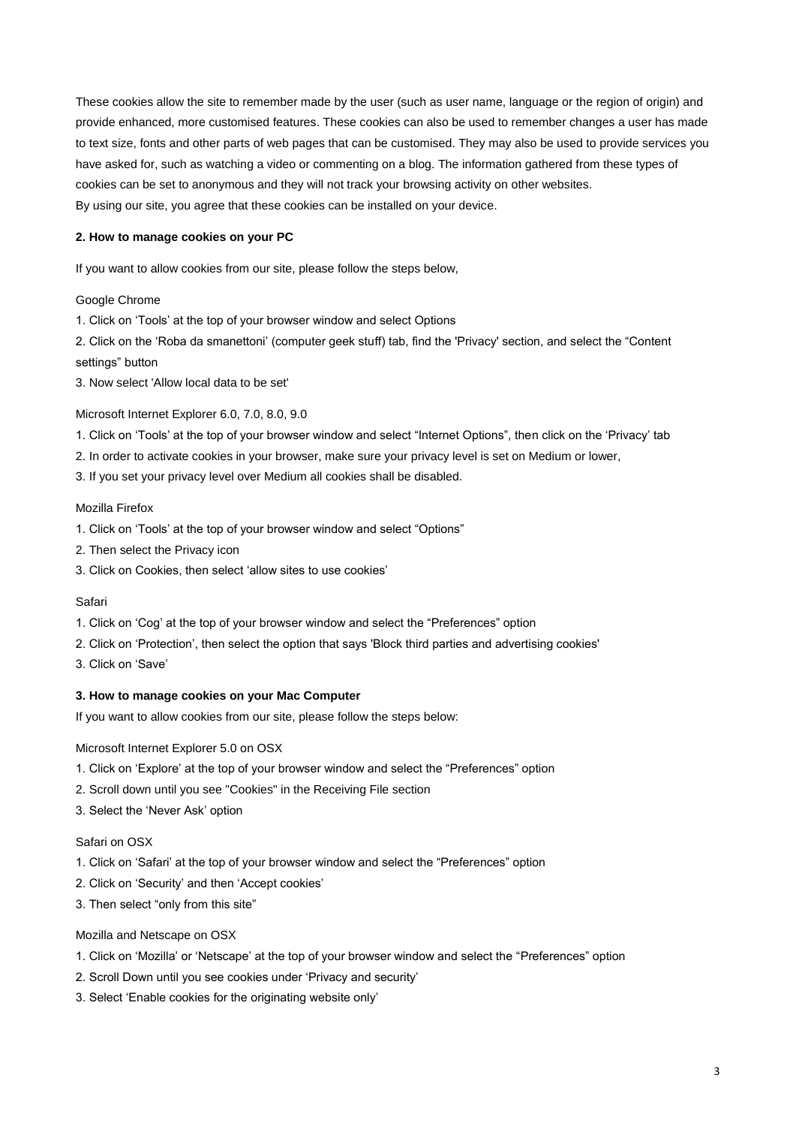These cookies allow the site to remember made by the user (such as user name, language or the region of origin) and provide enhanced, more customised features. These cookies can also be used to remember changes a user has made to text size, fonts and other parts of web pages that can be customised. They may also be used to provide services you have asked for, such as watching a video or commenting on a blog. The information gathered from these types of cookies can be set to anonymous and they will not track your browsing activity on other websites. By using our site, you agree that these cookies can be installed on your device.

## **2. How to manage cookies on your PC**

If you want to allow cookies from our site, please follow the steps below,

#### Google Chrome

1. Click on 'Tools' at the top of your browser window and select Options

2. Click on the 'Roba da smanettoni' (computer geek stuff) tab, find the 'Privacy' section, and select the "Content settings" button

3. Now select 'Allow local data to be set'

#### Microsoft Internet Explorer 6.0, 7.0, 8.0, 9.0

1. Click on 'Tools' at the top of your browser window and select "Internet Options", then click on the 'Privacy' tab

2. In order to activate cookies in your browser, make sure your privacy level is set on Medium or lower,

3. If you set your privacy level over Medium all cookies shall be disabled.

## Mozilla Firefox

- 1. Click on 'Tools' at the top of your browser window and select "Options"
- 2. Then select the Privacy icon
- 3. Click on Cookies, then select 'allow sites to use cookies'

#### Safari

- 1. Click on 'Cog' at the top of your browser window and select the "Preferences" option
- 2. Click on 'Protection', then select the option that says 'Block third parties and advertising cookies'
- 3. Click on 'Save'

# **3. How to manage cookies on your Mac Computer**

If you want to allow cookies from our site, please follow the steps below:

#### Microsoft Internet Explorer 5.0 on OSX

- 1. Click on 'Explore' at the top of your browser window and select the "Preferences" option
- 2. Scroll down until you see "Cookies" in the Receiving File section
- 3. Select the 'Never Ask' option

## Safari on OSX

- 1. Click on 'Safari' at the top of your browser window and select the "Preferences" option
- 2. Click on 'Security' and then 'Accept cookies'
- 3. Then select "only from this site"

#### Mozilla and Netscape on OSX

- 1. Click on 'Mozilla' or 'Netscape' at the top of your browser window and select the "Preferences" option
- 2. Scroll Down until you see cookies under 'Privacy and security'
- 3. Select 'Enable cookies for the originating website only'